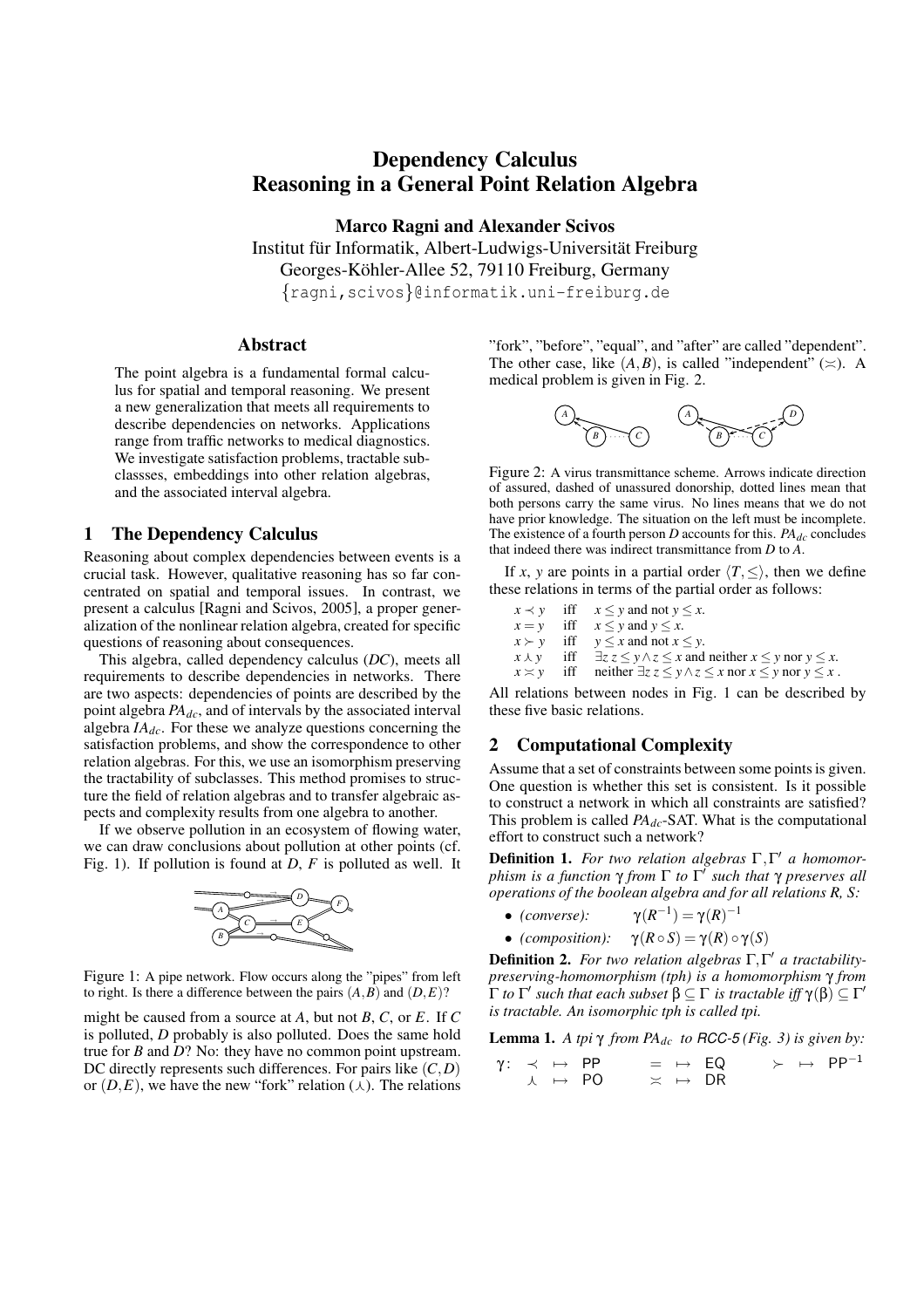# **Dependency Calculus Reasoning in a General Point Relation Algebra**

**Marco Ragni and Alexander Scivos** Institut für Informatik, Albert-Ludwigs-Universität Freiburg Georges-Köhler-Allee 52, 79110 Freiburg, Germany {ragni,scivos}@informatik.uni-freiburg.de

### **Abstract**

The point algebra is a fundamental formal calculus for spatial and temporal reasoning. We present a new generalization that meets all requirements to describe dependencies on networks. Applications range from traffic networks to medical diagnostics. We investigate satisfaction problems, tractable subclassses, embeddings into other relation algebras, and the associated interval algebra.

### **1 The Dependency Calculus**

Reasoning about complex dependencies between events is a crucial task. However, qualitative reasoning has so far concentrated on spatial and temporal issues. In contrast, we present a calculus [Ragni and Scivos, 2005], a proper generalization of the nonlinear relation algebra, created for specific questions of reasoning about consequences.

This algebra, called dependency calculus (*DC*), meets all requirements to describe dependencies in networks. There are two aspects: dependencies of points are described by the point algebra *PAdc*, and of intervals by the associated interval algebra *IAdc*. For these we analyze questions concerning the satisfaction problems, and show the correspondence to other relation algebras. For this, we use an isomorphism preserving the tractability of subclasses. This method promises to structure the field of relation algebras and to transfer algebraic aspects and complexity results from one algebra to another.

If we observe pollution in an ecosystem of flowing water, we can draw conclusions about pollution at other points (cf. Fig. 1). If pollution is found at *D*, *F* is polluted as well. It



Figure 1: A pipe network. Flow occurs along the "pipes" from left to right. Is there a difference between the pairs  $(A, B)$  and  $(D, E)$ ?

might be caused from a source at *A*, but not *B*, *C*, or *E*. If *C* is polluted, *D* probably is also polluted. Does the same hold true for *B* and *D*? No: they have no common point upstream. DC directly represents such differences. For pairs like (*C*,*D*) or  $(D, E)$ , we have the new "fork" relation  $(\lambda)$ . The relations "fork", "before", "equal", and "after" are called "dependent". The other case, like  $(A, B)$ , is called "independent" ( $\asymp$ ). A medical problem is given in Fig. 2.



Figure 2: A virus transmittance scheme. Arrows indicate direction of assured, dashed of unassured donorship, dotted lines mean that both persons carry the same virus. No lines means that we do not have prior knowledge. The situation on the left must be incomplete. The existence of a fourth person  $D$  accounts for this.  $PA_{dc}$  concludes that indeed there was indirect transmittance from *D* to *A*.

If *x*, *y* are points in a partial order  $\langle T, \leq \rangle$ , then we define these relations in terms of the partial order as follows:

*x* ≺ *y* iff *x* ≤ *y* and not *y* ≤ *x*.  $x = y$  iff  $x \le y$  and  $y \le x$ .  $x \succ y$  iff  $y \le x$  and not  $x \le y$ .<br> $x \perp y$  iff  $\exists z \ z \le y \land z \le x$  and *iff*  $\exists z \, z \leq y \land z \leq x$  and neither  $x \leq y$  nor  $y \leq x$ .  $x \asymp y$  iff neither  $\exists z \ z \leq y \land z \leq x$  nor  $x \leq y$  nor  $y \leq x$ .

All relations between nodes in Fig. 1 can be described by these five basic relations.

## **2 Computational Complexity**

Assume that a set of constraints between some points is given. One question is whether this set is consistent. Is it possible to construct a network in which all constraints are satisfied? This problem is called *PAdc*-SAT. What is the computational effort to construct such a network?

**Definition 1.** *For two relation algebras* Γ,Γ <sup>0</sup> *a homomorphism is a function* γ *from* Γ *to* Γ 0 *such that* γ *preserves all operations of the boolean algebra and for all relations R, S:*

- *(converse)*:  $^{-1}) = γ(R)^{-1}$
- *(composition):*  $\gamma(R \circ S) = \gamma(R) \circ \gamma(S)$

**Definition 2.** *For two relation algebras* Γ,Γ <sup>0</sup> *a tractabilitypreserving-homomorphism (tph) is a homomorphism* γ *from*  $\Gamma$  *to*  $\Gamma'$  *such that each subset*  $\beta \subseteq \Gamma$  *is tractable iff*  $\gamma(\beta) \subseteq \Gamma'$ *is tractable. An isomorphic tph is called tpi.*

**Lemma 1.** *A tpi*  $γ$  *from PA*<sub>*dc*</sub> *to RCC-5 (Fig.* 3) *is given by:* 

 $\gamma: \prec \ \mapsto \ \textsf{PP} \qquad \equiv \ \mapsto \ \textsf{EQ} \qquad \succ \ \mapsto \ \ \textsf{PP}^{-1}$  $\lambda \rightarrow \text{PO} \implies \rightarrow \text{DR}$